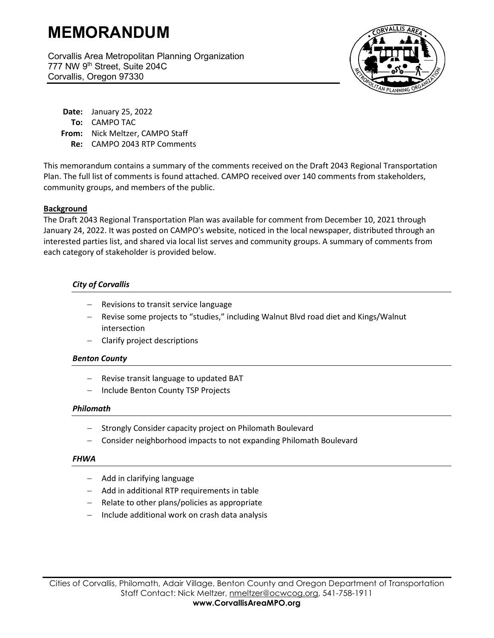# **MEMORANDUM**

Corvallis Area Metropolitan Planning Organization 777 NW 9th Street, Suite 204C Corvallis, Oregon 97330



**Date:** January 25, 2022 **To:** CAMPO TAC **From:** Nick Meltzer, CAMPO Staff **Re:** CAMPO 2043 RTP Comments

This memorandum contains a summary of the comments received on the Draft 2043 Regional Transportation Plan. The full list of comments is found attached. CAMPO received over 140 comments from stakeholders, community groups, and members of the public.

## **Background**

The Draft 2043 Regional Transportation Plan was available for comment from December 10, 2021 through January 24, 2022. It was posted on CAMPO's website, noticed in the local newspaper, distributed through an interested parties list, and shared via local list serves and community groups. A summary of comments from each category of stakeholder is provided below.

# *City of Corvallis*

- − Revisions to transit service language
- − Revise some projects to "studies," including Walnut Blvd road diet and Kings/Walnut intersection
- − Clarify project descriptions

## *Benton County*

- − Revise transit language to updated BAT
- − Include Benton County TSP Projects

## *Philomath*

- − Strongly Consider capacity project on Philomath Boulevard
- − Consider neighborhood impacts to not expanding Philomath Boulevard

## *FHWA*

- − Add in clarifying language
- − Add in additional RTP requirements in table
- − Relate to other plans/policies as appropriate
- − Include additional work on crash data analysis